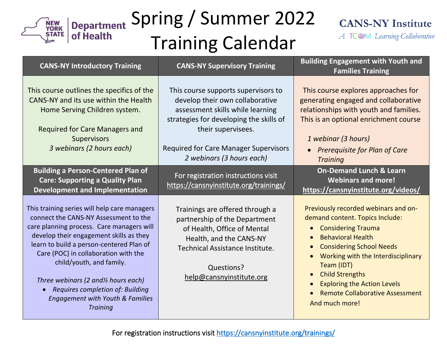

#### Spring / Summer 2022 Training Calendar



A TCOM Learning Collaborative

| <b>CANS-NY Introductory Training</b>                                                                                                                                                                                                                                                                                                                                                                                                                  | <b>CANS-NY Supervisory Training</b>                                                                                                                                                                                                                      | <b>Building Engagement with Youth and</b><br><b>Families Training</b>                                                                                                                                                                                                                                                                                                         |
|-------------------------------------------------------------------------------------------------------------------------------------------------------------------------------------------------------------------------------------------------------------------------------------------------------------------------------------------------------------------------------------------------------------------------------------------------------|----------------------------------------------------------------------------------------------------------------------------------------------------------------------------------------------------------------------------------------------------------|-------------------------------------------------------------------------------------------------------------------------------------------------------------------------------------------------------------------------------------------------------------------------------------------------------------------------------------------------------------------------------|
| This course outlines the specifics of the<br>CANS-NY and its use within the Health<br>Home Serving Children system.<br><b>Required for Care Managers and</b><br><b>Supervisors</b><br>3 webinars (2 hours each)                                                                                                                                                                                                                                       | This course supports supervisors to<br>develop their own collaborative<br>assessment skills while learning<br>strategies for developing the skills of<br>their supervisees.<br><b>Required for Care Manager Supervisors</b><br>2 webinars (3 hours each) | This course explores approaches for<br>generating engaged and collaborative<br>relationships with youth and families.<br>This is an optional enrichment course<br>1 webinar (3 hours)<br>Prerequisite for Plan of Care<br><b>Training</b>                                                                                                                                     |
| <b>Building a Person-Centered Plan of</b><br><b>Care: Supporting a Quality Plan</b><br><b>Development and Implementation</b>                                                                                                                                                                                                                                                                                                                          | For registration instructions visit<br>https://cansnyinstitute.org/trainings/                                                                                                                                                                            | <b>On-Demand Lunch &amp; Learn</b><br><b>Webinars and more!</b><br>https://cansnyinstitute.org/videos/                                                                                                                                                                                                                                                                        |
| This training series will help care managers<br>connect the CANS-NY Assessment to the<br>care planning process. Care managers will<br>develop their engagement skills as they<br>learn to build a person-centered Plan of<br>Care (POC) in collaboration with the<br>child/youth, and family.<br>Three webinars (2 and <sup>y</sup> hours each)<br>Requires completion of: Building<br><b>Engagement with Youth &amp; Families</b><br><b>Training</b> | Trainings are offered through a<br>partnership of the Department<br>of Health, Office of Mental<br>Health, and the CANS-NY<br>Technical Assistance Institute.<br>Questions?<br>help@cansnyinstitute.org                                                  | Previously recorded webinars and on-<br>demand content. Topics Include:<br><b>Considering Trauma</b><br>$\bullet$<br><b>Behavioral Health</b><br><b>Considering School Needs</b><br>Working with the Interdisciplinary<br>Team (IDT)<br><b>Child Strengths</b><br>$\bullet$<br><b>Exploring the Action Levels</b><br><b>Remote Collaborative Assessment</b><br>And much more! |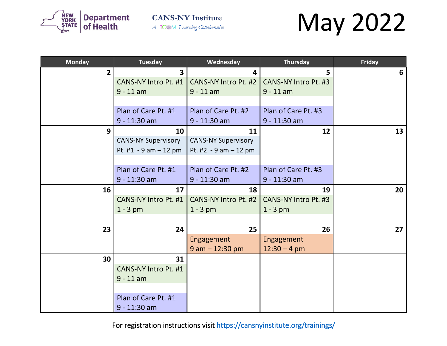

## May 2022

| <b>Monday</b>  | <b>Tuesday</b>             | Wednesday                  | <b>Thursday</b>      | <b>Friday</b> |
|----------------|----------------------------|----------------------------|----------------------|---------------|
| 2 <sup>1</sup> | $\overline{\mathbf{3}}$    | 4                          | 5                    | 6             |
|                | CANS-NY Intro Pt. #1       | CANS-NY Intro Pt. #2       | CANS-NY Intro Pt. #3 |               |
|                | $9 - 11$ am                | $9 - 11$ am                | $9 - 11$ am          |               |
|                |                            |                            |                      |               |
|                | Plan of Care Pt. #1        | Plan of Care Pt. #2        | Plan of Care Pt. #3  |               |
|                | $9 - 11:30$ am             | $9 - 11:30$ am             | 9 - 11:30 am         |               |
| 9              | 10                         | 11                         | 12                   | 13            |
|                | <b>CANS-NY Supervisory</b> | <b>CANS-NY Supervisory</b> |                      |               |
|                | Pt. $#1 - 9$ am $-12$ pm   | Pt. #2 $-9$ am $-12$ pm    |                      |               |
|                |                            |                            |                      |               |
|                | Plan of Care Pt. #1        | Plan of Care Pt. #2        | Plan of Care Pt. #3  |               |
|                | $9 - 11:30$ am             | $9 - 11:30$ am             | 9 - 11:30 am         |               |
| 16             | 17                         | 18                         | 19                   | 20            |
|                | CANS-NY Intro Pt. #1       | CANS-NY Intro Pt. #2       | CANS-NY Intro Pt. #3 |               |
|                | $1 - 3$ pm                 | $1 - 3$ pm                 | $1 - 3$ pm           |               |
|                |                            |                            |                      |               |
| 23             | 24                         | 25                         | 26                   | 27            |
|                |                            | Engagement                 | Engagement           |               |
|                |                            | $9$ am $-$ 12:30 pm        | $12:30 - 4$ pm       |               |
| 30             | 31                         |                            |                      |               |
|                | CANS-NY Intro Pt. #1       |                            |                      |               |
|                | $9 - 11$ am                |                            |                      |               |
|                |                            |                            |                      |               |
|                | Plan of Care Pt. #1        |                            |                      |               |
|                | $9 - 11:30$ am             |                            |                      |               |

For registration instructions visit<https://cansnyinstitute.org/trainings/>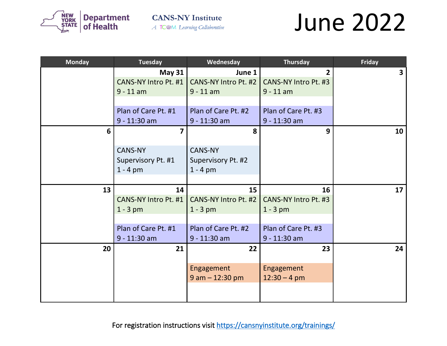

#### June 2022

| <b>Monday</b> | <b>Tuesday</b>       | Wednesday            | <b>Thursday</b>      | <b>Friday</b>           |
|---------------|----------------------|----------------------|----------------------|-------------------------|
|               | <b>May 31</b>        | June 1               | $\overline{2}$       | $\overline{\mathbf{3}}$ |
|               | CANS-NY Intro Pt. #1 | CANS-NY Intro Pt. #2 | CANS-NY Intro Pt. #3 |                         |
|               | $9 - 11$ am          | $9 - 11$ am          | $9 - 11$ am          |                         |
|               |                      |                      |                      |                         |
|               | Plan of Care Pt. #1  | Plan of Care Pt. #2  | Plan of Care Pt. #3  |                         |
|               | $9 - 11:30$ am       | 9 - 11:30 am         | 9 - 11:30 am         |                         |
| 6             | $\overline{7}$       | 8                    | 9                    | 10                      |
|               |                      |                      |                      |                         |
|               | <b>CANS-NY</b>       | <b>CANS-NY</b>       |                      |                         |
|               | Supervisory Pt. #1   | Supervisory Pt. #2   |                      |                         |
|               | $1 - 4$ pm           | $1 - 4$ pm           |                      |                         |
|               |                      |                      |                      |                         |
| 13            | 14                   | 15                   | 16                   | 17                      |
|               | CANS-NY Intro Pt. #1 | CANS-NY Intro Pt. #2 | CANS-NY Intro Pt. #3 |                         |
|               | $1 - 3$ pm           | $1 - 3$ pm           | $1 - 3$ pm           |                         |
|               |                      |                      |                      |                         |
|               | Plan of Care Pt. #1  | Plan of Care Pt. #2  | Plan of Care Pt. #3  |                         |
|               | $9 - 11:30$ am       | 9 - 11:30 am         | $9 - 11:30$ am       |                         |
| 20            | 21                   | 22                   | 23                   | 24                      |
|               |                      |                      |                      |                         |
|               |                      | Engagement           | Engagement           |                         |
|               |                      | $9$ am $-$ 12:30 pm  | $12:30 - 4$ pm       |                         |
|               |                      |                      |                      |                         |
|               |                      |                      |                      |                         |

For registration instructions visit<https://cansnyinstitute.org/trainings/>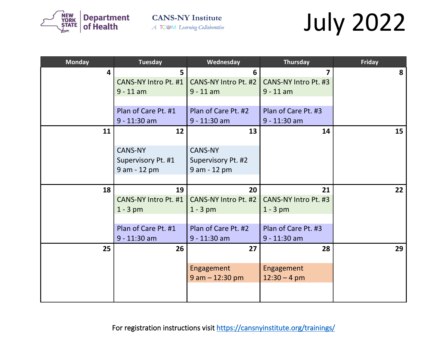

# July 2022

| <b>Monday</b>           | <b>Tuesday</b>       | Wednesday            | <b>Thursday</b>      | <b>Friday</b> |
|-------------------------|----------------------|----------------------|----------------------|---------------|
| $\overline{\mathbf{4}}$ | 5                    | 6                    | $\overline{7}$       | 8             |
|                         | CANS-NY Intro Pt. #1 | CANS-NY Intro Pt. #2 | CANS-NY Intro Pt. #3 |               |
|                         | $9 - 11$ am          | $9 - 11$ am          | $9 - 11$ am          |               |
|                         |                      |                      |                      |               |
|                         | Plan of Care Pt. #1  | Plan of Care Pt. #2  | Plan of Care Pt. #3  |               |
|                         | $9 - 11:30$ am       | $9 - 11:30$ am       | $9 - 11:30$ am       |               |
| 11                      | 12                   | 13                   | 14                   | 15            |
|                         |                      |                      |                      |               |
|                         | <b>CANS-NY</b>       | <b>CANS-NY</b>       |                      |               |
|                         | Supervisory Pt. #1   | Supervisory Pt. #2   |                      |               |
|                         | 9 am - 12 pm         | 9 am - 12 pm         |                      |               |
|                         |                      |                      |                      |               |
| 18                      | 19                   | 20                   | 21                   | 22            |
|                         | CANS-NY Intro Pt. #1 | CANS-NY Intro Pt. #2 | CANS-NY Intro Pt. #3 |               |
|                         | $1 - 3$ pm           | $1 - 3$ pm           | $1 - 3$ pm           |               |
|                         |                      |                      |                      |               |
|                         | Plan of Care Pt. #1  | Plan of Care Pt. #2  | Plan of Care Pt. #3  |               |
|                         | $9 - 11:30$ am       | $9 - 11:30$ am       | $9 - 11:30$ am       |               |
| 25                      | 26                   | 27                   | 28                   | 29            |
|                         |                      |                      |                      |               |
|                         |                      | Engagement           | Engagement           |               |
|                         |                      | $9$ am $-$ 12:30 pm  | $12:30 - 4$ pm       |               |
|                         |                      |                      |                      |               |
|                         |                      |                      |                      |               |

For registration instructions visit<https://cansnyinstitute.org/trainings/>